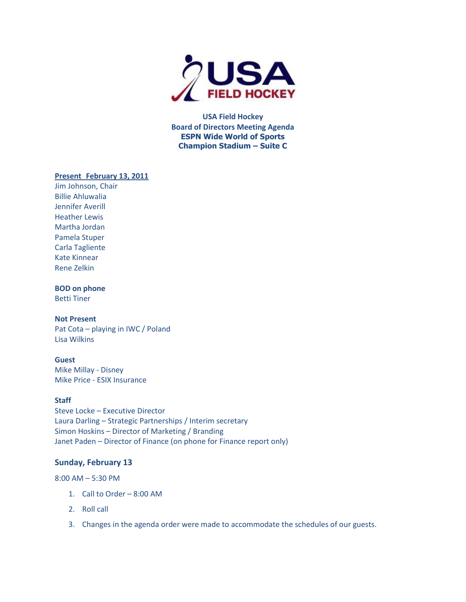

**USA Field Hockey Board of Directors Meeting Agenda ESPN Wide World of Sports Champion Stadium – Suite C**

# **Present February 13, 2011**

Jim Johnson, Chair Billie Ahluwalia Jennifer Averill Heather Lewis Martha Jordan Pamela Stuper Carla Tagliente Kate Kinnear Rene Zelkin

# **BOD on phone**

Betti Tiner

### **Not Present**

Pat Cota – playing in IWC / Poland Lisa Wilkins

# **Guest**

Mike Millay - Disney Mike Price - ESIX Insurance

## **Staff**

Steve Locke – Executive Director Laura Darling – Strategic Partnerships / Interim secretary Simon Hoskins – Director of Marketing / Branding Janet Paden – Director of Finance (on phone for Finance report only)

## **Sunday, February 13**

8:00 AM – 5:30 PM

- 1. Call to Order 8:00 AM
- 2. Roll call
- 3. Changes in the agenda order were made to accommodate the schedules of our guests.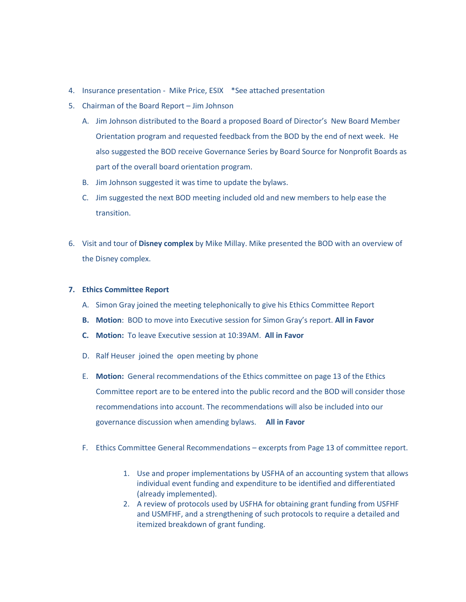- 4. Insurance presentation Mike Price, ESIX \*See attached presentation
- 5. Chairman of the Board Report Jim Johnson
	- A. Jim Johnson distributed to the Board a proposed Board of Director's New Board Member Orientation program and requested feedback from the BOD by the end of next week. He also suggested the BOD receive Governance Series by Board Source for Nonprofit Boards as part of the overall board orientation program.
	- B. Jim Johnson suggested it was time to update the bylaws.
	- C. Jim suggested the next BOD meeting included old and new members to help ease the transition.
- 6. Visit and tour of **Disney complex** by Mike Millay. Mike presented the BOD with an overview of the Disney complex.

#### **7. Ethics Committee Report**

- A. Simon Gray joined the meeting telephonically to give his Ethics Committee Report
- **B. Motion**: BOD to move into Executive session for Simon Gray's report. **All in Favor**
- **C. Motion:** To leave Executive session at 10:39AM. **All in Favor**
- D. Ralf Heuser joined the open meeting by phone
- E. **Motion:** General recommendations of the Ethics committee on page 13 of the Ethics Committee report are to be entered into the public record and the BOD will consider those recommendations into account. The recommendations will also be included into our governance discussion when amending bylaws. **All in Favor**
- F. Ethics Committee General Recommendations excerpts from Page 13 of committee report.
	- 1. Use and proper implementations by USFHA of an accounting system that allows individual event funding and expenditure to be identified and differentiated (already implemented).
	- 2. A review of protocols used by USFHA for obtaining grant funding from USFHF and USMFHF, and a strengthening of such protocols to require a detailed and itemized breakdown of grant funding.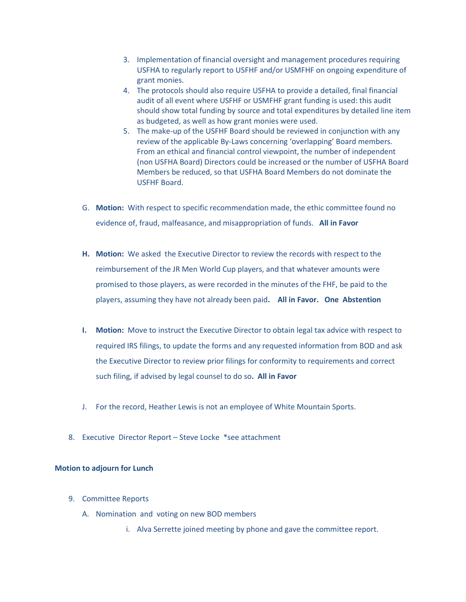- 3. Implementation of financial oversight and management procedures requiring USFHA to regularly report to USFHF and/or USMFHF on ongoing expenditure of grant monies.
- 4. The protocols should also require USFHA to provide a detailed, final financial audit of all event where USFHF or USMFHF grant funding is used: this audit should show total funding by source and total expenditures by detailed line item as budgeted, as well as how grant monies were used.
- 5. The make-up of the USFHF Board should be reviewed in conjunction with any review of the applicable By-Laws concerning 'overlapping' Board members. From an ethical and financial control viewpoint, the number of independent (non USFHA Board) Directors could be increased or the number of USFHA Board Members be reduced, so that USFHA Board Members do not dominate the USFHF Board.
- G. **Motion:** With respect to specific recommendation made, the ethic committee found no evidence of, fraud, malfeasance, and misappropriation of funds. **All in Favor**
- **H. Motion:** We asked the Executive Director to review the records with respect to the reimbursement of the JR Men World Cup players, and that whatever amounts were promised to those players, as were recorded in the minutes of the FHF, be paid to the players, assuming they have not already been paid**. All in Favor. One Abstention**
- **I. Motion:** Move to instruct the Executive Director to obtain legal tax advice with respect to required IRS filings, to update the forms and any requested information from BOD and ask the Executive Director to review prior filings for conformity to requirements and correct such filing, if advised by legal counsel to do so**. All in Favor**
- J. For the record, Heather Lewis is not an employee of White Mountain Sports.
- 8. Executive Director Report Steve Locke \*see attachment

### **Motion to adjourn for Lunch**

- 9. Committee Reports
	- A. Nomination and voting on new BOD members
		- i. Alva Serrette joined meeting by phone and gave the committee report.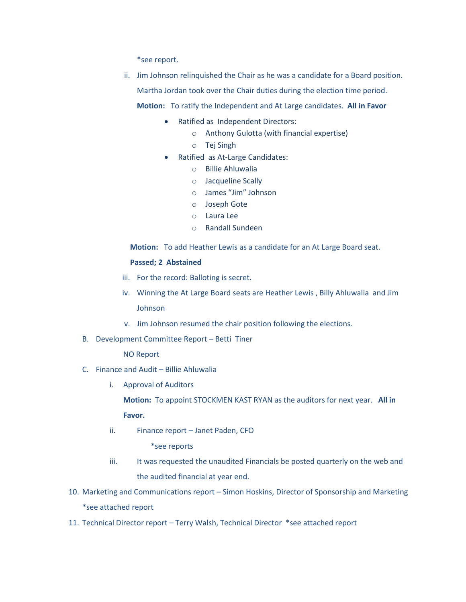\*see report.

ii. Jim Johnson relinquished the Chair as he was a candidate for a Board position. Martha Jordan took over the Chair duties during the election time period.

**Motion:** To ratify the Independent and At Large candidates. **All in Favor**

- Ratified as Independent Directors:
	- o Anthony Gulotta (with financial expertise)
	- o Tej Singh
- Ratified as At-Large Candidates:
	- o Billie Ahluwalia
	- o Jacqueline Scally
	- o James "Jim" Johnson
	- o Joseph Gote
	- o Laura Lee
	- o Randall Sundeen

**Motion:** To add Heather Lewis as a candidate for an At Large Board seat.

#### **Passed; 2 Abstained**

- iii. For the record: Balloting is secret.
- iv. Winning the At Large Board seats are Heather Lewis , Billy Ahluwalia and Jim Johnson
- v. Jim Johnson resumed the chair position following the elections.
- B. Development Committee Report Betti Tiner

NO Report

- C. Finance and Audit Billie Ahluwalia
	- i. Approval of Auditors

**Motion:** To appoint STOCKMEN KAST RYAN as the auditors for next year. **All in Favor.** 

ii. Finance report – Janet Paden, CFO

\*see reports

- iii. It was requested the unaudited Financials be posted quarterly on the web and the audited financial at year end.
- 10. Marketing and Communications report Simon Hoskins, Director of Sponsorship and Marketing \*see attached report
- 11. Technical Director report Terry Walsh, Technical Director \*see attached report